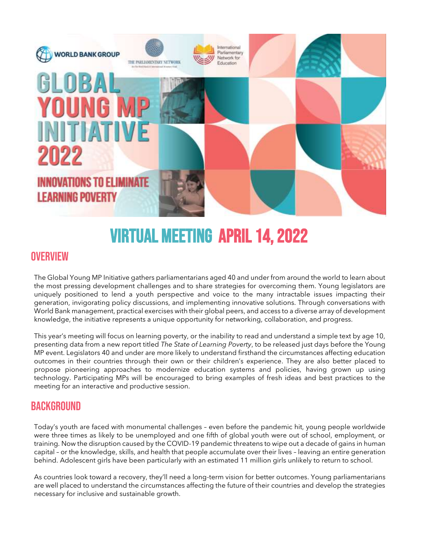

# Virtual Meeting April 14, 2022

### **OVERVIEW**

The Global Young MP Initiative gathers parliamentarians aged 40 and under from around the world to learn about the most pressing development challenges and to share strategies for overcoming them. Young legislators are uniquely positioned to lend a youth perspective and voice to the many intractable issues impacting their generation, invigorating policy discussions, and implementing innovative solutions. Through conversations with World Bank management, practical exercises with their global peers, and access to a diverse array of development knowledge, the initiative represents a unique opportunity for networking, collaboration, and progress.

This year's meeting will focus on learning poverty, or the inability to read and understand a simple text by age 10, presenting data from a new report titled *The State of Learning Poverty*, to be released just days before the Young MP event. Legislators 40 and under are more likely to understand firsthand the circumstances affecting education outcomes in their countries through their own or their children's experience. They are also better placed to propose pioneering approaches to modernize education systems and policies, having grown up using technology. Participating MPs will be encouraged to bring examples of fresh ideas and best practices to the meeting for an interactive and productive session.

## **BACKGROUND**

Today's youth are faced with monumental challenges – even before the pandemic hit, young people worldwide were three times as likely to be unemployed and one fifth of global youth were out of school, employment, or training. Now the disruption caused by the COVID-19 pandemic threatens to wipe out a decade of gains in human capital – or the knowledge, skills, and health that people accumulate over their lives – leaving an entire generation behind. Adolescent girls have been particularly with an estimated 11 million girls unlikely to return to school.

As countries look toward a recovery, they'll need a long-term vision for better outcomes. Young parliamentarians are well placed to understand the circumstances affecting the future of their countries and develop the strategies necessary for inclusive and sustainable growth.